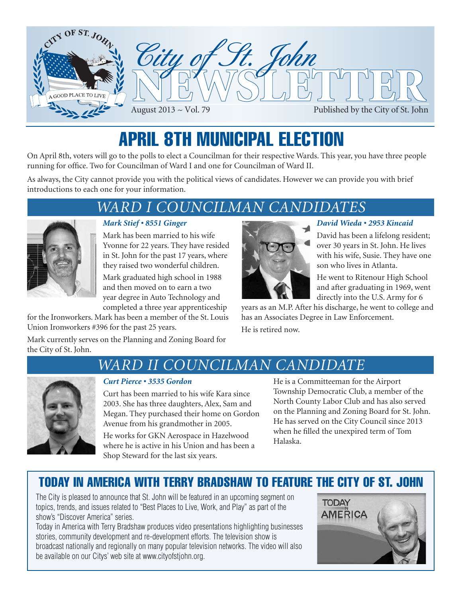

# APRIL 8TH MUNICIPAL ELECTION

On April 8th, voters will go to the polls to elect a Councilman for their respective Wards. This year, you have three people running for office. Two for Councilman of Ward I and one for Councilman of Ward II.

As always, the City cannot provide you with the political views of candidates. However we can provide you with brief introductions to each one for your information.

### *WARD I COUNCILMAN CANDIDATES*



### *Mark Stief • 8551 Ginger*

Mark has been married to his wife Yvonne for 22 years. They have resided in St. John for the past 17 years, where they raised two wonderful children.

Mark graduated high school in 1988 and then moved on to earn a two year degree in Auto Technology and completed a three year apprenticeship

for the Ironworkers. Mark has been a member of the St. Louis Union Ironworkers #396 for the past 25 years.

Mark currently serves on the Planning and Zoning Board for the City of St. John.



### *David Wieda • 2953 Kincaid*

David has been a lifelong resident; over 30 years in St. John. He lives with his wife, Susie. They have one son who lives in Atlanta.

He went to Ritenour High School and after graduating in 1969, went directly into the U.S. Army for 6

years as an M.P. After his discharge, he went to college and has an Associates Degree in Law Enforcement. He is retired now.

### *WARD II COUNCILMAN CANDIDATE*



### *Curt Pierce • 3535 Gordon*

Curt has been married to his wife Kara since 2003. She has three daughters, Alex, Sam and Megan. They purchased their home on Gordon Avenue from his grandmother in 2005.

He works for GKN Aerospace in Hazelwood where he is active in his Union and has been a Shop Steward for the last six years.

He is a Committeeman for the Airport Township Democratic Club, a member of the North County Labor Club and has also served on the Planning and Zoning Board for St. John. He has served on the City Council since 2013 when he filled the unexpired term of Tom Halaska.

### today in america with terry bradshaw to feature the City of st. john

The City is pleased to announce that St. John will be featured in an upcoming segment on topics, trends, and issues related to "Best Places to Live, Work, and Play" as part of the show's "Discover America" series.

Today in America with Terry Bradshaw produces video presentations highlighting businesses stories, community development and re-development efforts. The television show is broadcast nationally and regionally on many popular television networks. The video will also be available on our Citys' web site at www.cityofstjohn.org.

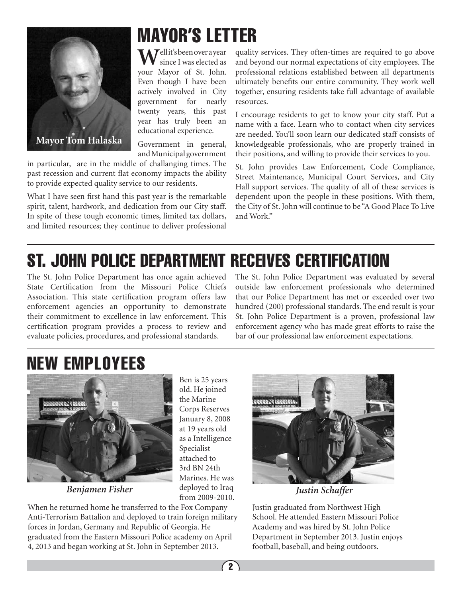

# MAYOR'S LETTER

**M**Uellit's been over a year since I was elected as your Mayor of St. John. Even though I have been actively involved in City government for nearly twenty years, this past year has truly been an educational experience.

Government in general, and Municipal government

in particular, are in the middle of challanging times. The past recession and current flat economy impacts the ability to provide expected quality service to our residents.

What I have seen first hand this past year is the remarkable spirit, talent, hardwork, and dedication from our City staff. In spite of these tough economic times, limited tax dollars, and limited resources; they continue to deliver professional

quality services. They often-times are required to go above and beyond our normal expectations of city employees. The professional relations established between all departments ultimately benefits our entire community. They work well together, ensuring residents take full advantage of available resources.

I encourage residents to get to know your city staff. Put a name with a face. Learn who to contact when city services are needed. You'll soon learn our dedicated staff consists of knowledgeable professionals, who are properly trained in their positions, and willing to provide their services to you.

St. John provides Law Enforcement, Code Compliance, Street Maintenance, Municipal Court Services, and City Hall support services. The quality of all of these services is dependent upon the people in these positions. With them, the City of St. John will continue to be "A Good Place To Live and Work."

# St. John Police Department Receives Certification

The St. John Police Department has once again achieved State Certification from the Missouri Police Chiefs Association. This state certification program offers law enforcement agencies an opportunity to demonstrate their commitment to excellence in law enforcement. This certification program provides a process to review and evaluate policies, procedures, and professional standards.

The St. John Police Department was evaluated by several outside law enforcement professionals who determined that our Police Department has met or exceeded over two hundred (200) professional standards. The end result is your St. John Police Department is a proven, professional law enforcement agency who has made great efforts to raise the bar of our professional law enforcement expectations.

# NEW EMPLOYEES



*Benjamen Fisher Justin Schaffer*

Ben is 25 years old. He joined the Marine Corps Reserves January 8, 2008 at 19 years old as a Intelligence Specialist attached to 3rd BN 24th Marines. He was deployed to Iraq from 2009-2010.

When he returned home he transferred to the Fox Company Anti-Terrorism Battalion and deployed to train foreign military forces in Jordan, Germany and Republic of Georgia. He graduated from the Eastern Missouri Police academy on April 4, 2013 and began working at St. John in September 2013.



Justin graduated from Northwest High School. He attended Eastern Missouri Police Academy and was hired by St. John Police Department in September 2013. Justin enjoys football, baseball, and being outdoors.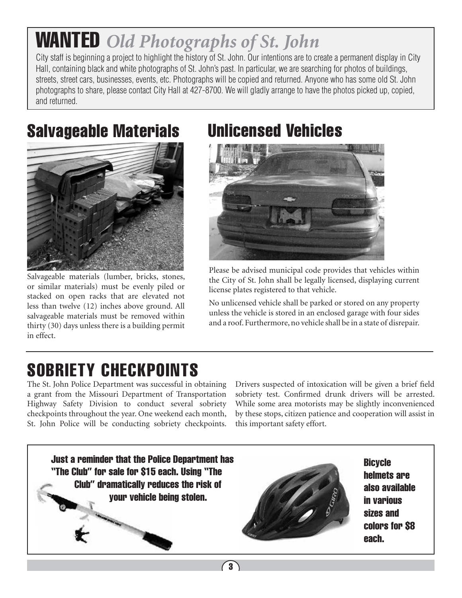# WANTED *Old Photographs of St. John*

City staff is beginning a project to highlight the history of St. John. Our intentions are to create a permanent display in City Hall, containing black and white photographs of St. John's past. In particular, we are searching for photos of buildings, streets, street cars, businesses, events, etc. Photographs will be copied and returned. Anyone who has some old St. John photographs to share, please contact City Hall at 427-8700. We will gladly arrange to have the photos picked up, copied, and returned.

## Salvageable Materials Unlicensed Vehicles



Salvageable materials (lumber, bricks, stones, or similar materials) must be evenly piled or stacked on open racks that are elevated not less than twelve (12) inches above ground. All salvageable materials must be removed within thirty (30) days unless there is a building permit in effect.



Please be advised municipal code provides that vehicles within the City of St. John shall be legally licensed, displaying current license plates registered to that vehicle.

No unlicensed vehicle shall be parked or stored on any property unless the vehicle is stored in an enclosed garage with four sides and a roof. Furthermore, no vehicle shall be in a state of disrepair.

## SOBRIETY CHECKPOINTS

The St. John Police Department was successful in obtaining a grant from the Missouri Department of Transportation Highway Safety Division to conduct several sobriety checkpoints throughout the year. One weekend each month, St. John Police will be conducting sobriety checkpoints. Drivers suspected of intoxication will be given a brief field sobriety test. Confirmed drunk drivers will be arrested. While some area motorists may be slightly inconvenienced by these stops, citizen patience and cooperation will assist in this important safety effort.

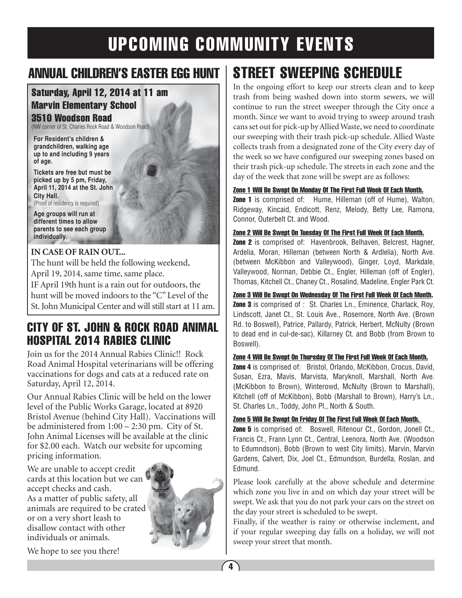### annual children's easter egg hunt

### Saturday, April 12, 2014 at 11 am Marvin Elementary School

#### 3510 Woodson Road

(NW corner of St. Charles Rock Road & Woodson Road)

**For Resident's children & grandchildren, walking age up to and including 9 years of age.**

**Tickets are free but must be picked up by 5 pm, Friday, April 11, 2014 at the St. John City Hall.** (Proof of residency is required)

**Age groups will run at different times to allow parents to see each group individually.**

#### **IN CASE OF RAIN OUT...**

The hunt will be held the following weekend, April 19, 2014, same time, same place. IF April 19th hunt is a rain out for outdoors, the hunt will be moved indoors to the "C" Level of the St. John Municipal Center and will still start at 11 am.

### City of St. John & Rock Road Animal Hospital 2014 Rabies Clinic

Join us for the 2014 Annual Rabies Clinic!! Rock Road Animal Hospital veterinarians will be offering vaccinations for dogs and cats at a reduced rate on Saturday, April 12, 2014.

Our Annual Rabies Clinic will be held on the lower level of the Public Works Garage, located at 8920 Bristol Avenue (behind City Hall). Vaccinations will be administered from 1:00 – 2:30 pm. City of St. John Animal Licenses will be available at the clinic for \$2.00 each. Watch our website for upcoming pricing information.

We are unable to accept credit cards at this location but we can accept checks and cash. As a matter of public safety, all animals are required to be crated or on a very short leash to disallow contact with other individuals or animals.



We hope to see you there!

## Street sweeping schedule

In the ongoing effort to keep our streets clean and to keep trash from being washed down into storm sewers, we will continue to run the street sweeper through the City once a month. Since we want to avoid trying to sweep around trash cans set out for pick-up by Allied Waste, we need to coordinate our sweeping with their trash pick-up schedule. Allied Waste collects trash from a designated zone of the City every day of the week so we have configured our sweeping zones based on their trash pick-up schedule. The streets in each zone and the day of the week that zone will be swept are as follows:

#### Zone 1 Will Be Swept On Monday Of The First Full Week Of Each Month.

**Zone 1** is comprised of: Hume, Hilleman (off of Hume), Walton, Ridgeway, Kincaid, Endicott, Renz, Melody, Betty Lee, Ramona, Connor, Outerbelt Ct. and Wood.

#### Zone 2 Will Be Swept On Tuesday Of The First Full Week Of Each Month.

Zone 2 is comprised of: Havenbrook, Belhaven, Belcrest, Hagner, Ardelia, Moran, Hilleman (between North & Ardlelia), North Ave. (between McKibbon and Valleywood), Ginger, Loyd, Markdale, Valleywood, Norman, Debbie Ct., Engler, Hilleman (off of Engler), Thomas, Kitchell Ct., Chaney Ct., Rosalind, Madeline, Engler Park Ct.

#### Zone 3 Will Be Swept On Wednesday Of The First Full Week Of Each Month.

**Zone 3** is comprised of : St. Charles Ln., Eminence, Charlack, Roy, Lindscott, Janet Ct., St. Louis Ave., Rosemore, North Ave. (Brown Rd. to Boswell), Patrice, Pallardy, Patrick, Herbert, McNulty (Brown to dead end in cul-de-sac), Killarney Ct. and Bobb (from Brown to Boswell).

#### Zone 4 Will Be Swept On Thursday Of The First Full Week Of Each Month.

**Zone 4** is comprised of: Bristol, Orlando, McKibbon, Crocus, David, Susan, Ezra, Mavis, Marvista, Maryknoll, Marshall, North Ave. (McKibbon to Brown), Winterowd, McNulty (Brown to Marshall), Kitchell (off of McKibbon), Bobb (Marshall to Brown), Harry's Ln., St. Charles Ln., Toddy, John Pl., North & South.

#### Zone 5 Will Be Swept On Friday Of The First Full Week Of Each Month.

**Zone 5** is comprised of: Boswell, Ritenour Ct., Gordon, Jonell Ct., Francis Ct., Frann Lynn Ct., Central, Leenora, North Ave. (Woodson to Edumndson), Bobb (Brown to west City limits), Marvin, Marvin Gardens, Calvert, Dix, Joel Ct., Edmundson, Burdella, Roslan, and Edmund.

Please look carefully at the above schedule and determine which zone you live in and on which day your street will be swept. We ask that you do not park your cars on the street on the day your street is scheduled to be swept.

Finally, if the weather is rainy or otherwise inclement, and if your regular sweeping day falls on a holiday, we will not sweep your street that month.

4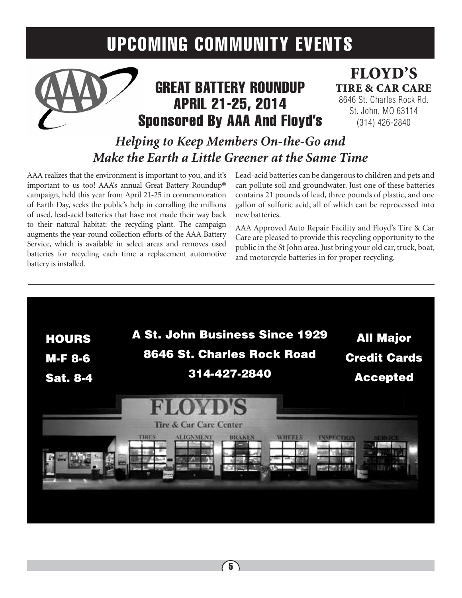

## **GREAT BATTERY ROUNDUP** April 21-25, 2014 Sponsored By AAA And Floyd's

### floyd's tire & car care 8646 St. Charles Rock Rd. St. John, MO 63114 (314) 426-2840

*Helping to Keep Members On-the-Go and Make the Earth a Little Greener at the Same Time*

AAA realizes that the environment is important to you, and it's important to us too! AAA's annual Great Battery Roundup® campaign, held this year from April 21-25 in commemoration of Earth Day, seeks the public's help in corralling the millions of used, lead-acid batteries that have not made their way back to their natural habitat: the recycling plant. The campaign augments the year-round collection efforts of the AAA Battery Service, which is available in select areas and removes used batteries for recycling each time a replacement automotive battery is installed.

Lead-acid batteries can be dangerous to children and pets and can pollute soil and groundwater. Just one of these batteries contains 21 pounds of lead, three pounds of plastic, and one gallon of sulfuric acid, all of which can be reprocessed into new batteries.

AAA Approved Auto Repair Facility and Floyd's Tire & Car Care are pleased to provide this recycling opportunity to the public in the St John area. Just bring your old car, truck, boat, and motorcycle batteries in for proper recycling.

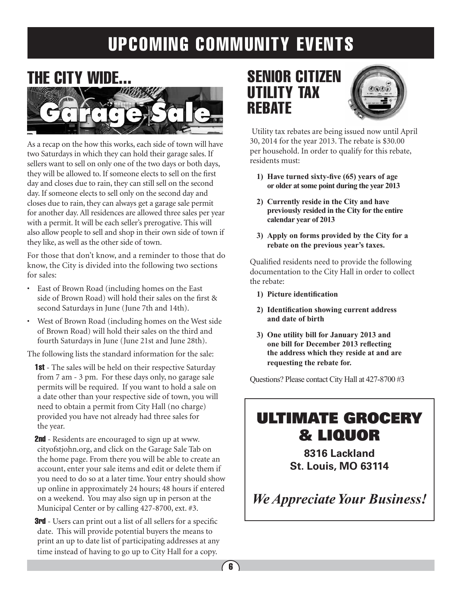

As a recap on the how this works, each side of town will have two Saturdays in which they can hold their garage sales. If sellers want to sell on only one of the two days or both days, they will be allowed to. If someone elects to sell on the first day and closes due to rain, they can still sell on the second day. If someone elects to sell only on the second day and closes due to rain, they can always get a garage sale permit for another day. All residences are allowed three sales per year with a permit. It will be each seller's prerogative. This will also allow people to sell and shop in their own side of town if they like, as well as the other side of town.

For those that don't know, and a reminder to those that do know, the City is divided into the following two sections for sales:

- • East of Brown Road (including homes on the East side of Brown Road) will hold their sales on the first & second Saturdays in June (June 7th and 14th).
- • West of Brown Road (including homes on the West side of Brown Road) will hold their sales on the third and fourth Saturdays in June (June 21st and June 28th).

The following lists the standard information for the sale:

**1st** - The sales will be held on their respective Saturday from 7 am - 3 pm. For these days only, no garage sale permits will be required. If you want to hold a sale on a date other than your respective side of town, you will need to obtain a permit from City Hall (no charge) provided you have not already had three sales for the year.

**2nd** - Residents are encouraged to sign up at www. cityofstjohn.org, and click on the Garage Sale Tab on the home page. From there you will be able to create an account, enter your sale items and edit or delete them if you need to do so at a later time. Your entry should show up online in approximately 24 hours; 48 hours if entered on a weekend. You may also sign up in person at the Municipal Center or by calling 427-8700, ext. #3.

**3rd** - Users can print out a list of all sellers for a specific date. This will provide potential buyers the means to print an up to date list of participating addresses at any time instead of having to go up to City Hall for a copy.

### SENIOR CITIZEN UTILITY TAX **REBATE**



 Utility tax rebates are being issued now until April 30, 2014 for the year 2013. The rebate is \$30.00 per household. In order to qualify for this rebate, residents must:

- **1) Have turned sixty-five (65) years of age or older at some point during the year 2013**
- **2) Currently reside in the City and have previously resided in the City for the entire calendar year of 2013**
- **3) Apply on forms provided by the City for a rebate on the previous year's taxes.**

Qualified residents need to provide the following documentation to the City Hall in order to collect the rebate:

- **1) Picture identification**
- **2) Identification showing current address and date of birth**
- **3) One utility bill for January 2013 and one bill for December 2013 reflecting the address which they reside at and are requesting the rebate for.**

Questions? Please contact City Hall at 427-8700 #3

## ULTIMATE GROCERY & LIQUOR

**8316 Lackland St. Louis, MO 63114**

*We Appreciate Your Business!*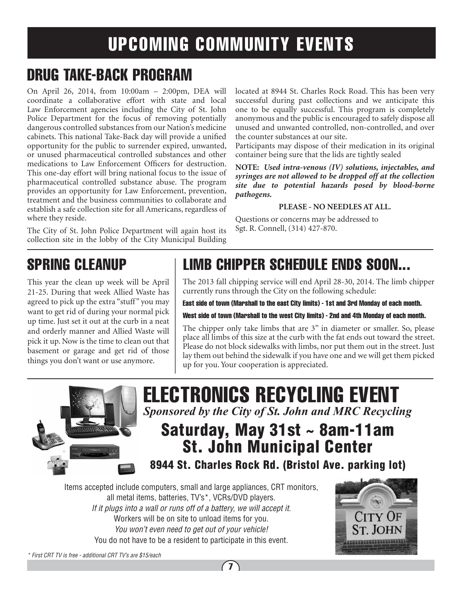## drug take-back program

On April 26, 2014, from 10:00am – 2:00pm, DEA will coordinate a collaborative effort with state and local Law Enforcement agencies including the City of St. John Police Department for the focus of removing potentially dangerous controlled substances from our Nation's medicine cabinets. This national Take-Back day will provide a unified opportunity for the public to surrender expired, unwanted, or unused pharmaceutical controlled substances and other medications to Law Enforcement Officers for destruction. This one-day effort will bring national focus to the issue of pharmaceutical controlled substance abuse. The program provides an opportunity for Law Enforcement, prevention, treatment and the business communities to collaborate and establish a safe collection site for all Americans, regardless of where they reside.

The City of St. John Police Department will again host its collection site in the lobby of the City Municipal Building

located at 8944 St. Charles Rock Road. This has been very successful during past collections and we anticipate this one to be equally successful. This program is completely anonymous and the public is encouraged to safely dispose all unused and unwanted controlled, non-controlled, and over the counter substances at our site.

Participants may dispose of their medication in its original container being sure that the lids are tightly sealed

**NOTE:** *Used intra-venous (IV) solutions, injectables, and syringes are not allowed to be dropped off at the collection site due to potential hazards posed by blood-borne pathogens.*

#### **PLEASE - NO NEEDLES AT ALL.**

Questions or concerns may be addressed to Sgt. R. Connell, (314) 427-870.

## spring cleanup

This year the clean up week will be April 21-25. During that week Allied Waste has agreed to pick up the extra "stuff" you may want to get rid of during your normal pick up time. Just set it out at the curb in a neat and orderly manner and Allied Waste will pick it up. Now is the time to clean out that basement or garage and get rid of those things you don't want or use anymore.

## limb chipper schedule ends soon...

The 2013 fall chipping service will end April 28-30, 2014. The limb chipper currently runs through the City on the following schedule:

East side of town (Marshall to the east City limits) - 1st and 3rd Monday of each month.

West side of town (Marshall to the west City limits) - 2nd and 4th Monday of each month.

The chipper only take limbs that are 3" in diameter or smaller. So, please place all limbs of this size at the curb with the fat ends out toward the street. Please do not block sidewalks with limbs, nor put them out in the street. Just lay them out behind the sidewalk if you have one and we will get them picked up for you. Your cooperation is appreciated.



## electronics recycling event *Sponsored by the City of St. John and MRC Recycling*

## Saturday, May 31st ~ 8am-11am St. John Municipal Center

8944 St. Charles Rock Rd. (Bristol Ave. parking lot)

Items accepted include computers, small and large appliances, CRT monitors, all metal items, batteries, TV's\*, VCRs/DVD players. *If it plugs into a wall or runs off of a battery, we will accept it.* Workers will be on site to unload items for you. *You won't even need to get out of your vehicle!* You do not have to be a resident to participate in this event.



*\* First CRT TV is free - additional CRT TV's are \$15/each*

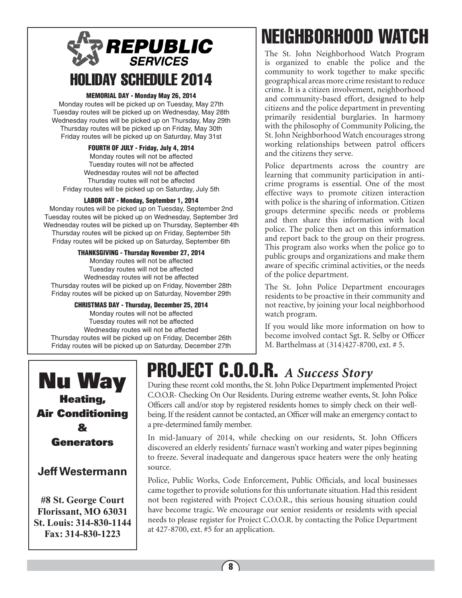## **REPUBLIC SERVICES** HOLIDAY SCHEDULE 2014

#### MEMORIAL DAY - Monday May 26, 2014

Monday routes will be picked up on Tuesday, May 27th Tuesday routes will be picked up on Wednesday, May 28th Wednesday routes will be picked up on Thursday, May 29th Thursday routes will be picked up on Friday, May 30th Friday routes will be picked up on Saturday, May 31st

#### FOURTH OF JULY - Friday, July 4, 2014

Monday routes will not be affected Tuesday routes will not be affected Wednesday routes will not be affected Thursday routes will not be affected Friday routes will be picked up on Saturday, July 5th

#### LABOR DAY - Monday, September 1, 2014

Monday routes will be picked up on Tuesday, September 2nd Tuesday routes will be picked up on Wednesday, September 3rd Wednesday routes will be picked up on Thursday, September 4th Thursday routes will be picked up on Friday, September 5th Friday routes will be picked up on Saturday, September 6th

#### THANKSGIVING - Thursday November 27, 2014

Monday routes will not be affected Tuesday routes will not be affected Wednesday routes will not be affected Thursday routes will be picked up on Friday, November 28th Friday routes will be picked up on Saturday, November 29th

#### CHRISTMAS DAY - Thursday, December 25, 2014

Monday routes will not be affected Tuesday routes will not be affected Wednesday routes will not be affected Thursday routes will be picked up on Friday, December 26th Friday routes will be picked up on Saturday, December 27th

# neighborhood watch

The St. John Neighborhood Watch Program is organized to enable the police and the community to work together to make specific geographical areas more crime resistant to reduce crime. It is a citizen involvement, neighborhood and community-based effort, designed to help citizens and the police department in preventing primarily residential burglaries. In harmony with the philosophy of Community Policing, the St. John Neighborhood Watch encourages strong working relationships between patrol officers and the citizens they serve.

Police departments across the country are learning that community participation in anticrime programs is essential. One of the most effective ways to promote citizen interaction with police is the sharing of information. Citizen groups determine specific needs or problems and then share this information with local police. The police then act on this information and report back to the group on their progress. This program also works when the police go to public groups and organizations and make them aware of specific criminal activities, or the needs of the police department.

The St. John Police Department encourages residents to be proactive in their community and not reactive, by joining your local neighborhood watch program.

If you would like more information on how to become involved contact Sgt. R. Selby or Officer M. Barthelmass at (314)427-8700, ext. # 5.



### **Jeff Westermann**

**#8 St. George Court Florissant, MO 63031 St. Louis: 314-830-1144 Fax: 314-830-1223**

# project c.o.o.r. *A Success Story*

During these recent cold months, the St. John Police Department implemented Project C.O.O.R- Checking On Our Residents. During extreme weather events, St. John Police Officers call and/or stop by registered residents homes to simply check on their wellbeing. If the resident cannot be contacted, an Officer will make an emergency contact to a pre-determined family member.

In mid-January of 2014, while checking on our residents, St. John Officers discovered an elderly residents' furnace wasn't working and water pipes beginning to freeze. Several inadequate and dangerous space heaters were the only heating source.

Police, Public Works, Code Enforcement, Public Officials, and local businesses came together to provide solutions for this unfortunate situation. Had this resident not been registered with Project C.O.O.R., this serious housing situation could have become tragic. We encourage our senior residents or residents with special needs to please register for Project C.O.O.R. by contacting the Police Department at 427-8700, ext. #5 for an application.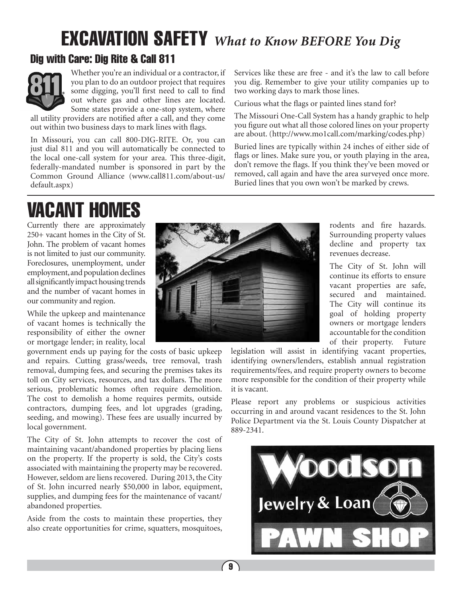# excavation safety *What to Know BEFORE You Dig*

### Dig with Care: Dig Rite & Call 811



Whether you're an individual or a contractor, if you plan to do an outdoor project that requires some digging, you'll first need to call to find out where gas and other lines are located. Some states provide a one-stop system, where

all utility providers are notified after a call, and they come out within two business days to mark lines with flags.

In Missouri, you can call 800-DIG-RITE. Or, you can just dial 811 and you will automatically be connected to the local one-call system for your area. This three-digit, federally-mandated number is sponsored in part by the Common Ground Alliance (www.call811.com/about-us/ default.aspx)

VACANT HOMES

Currently there are approximately 250+ vacant homes in the City of St. John. The problem of vacant homes is not limited to just our community. Foreclosures, unemployment, under employment, and population declines all significantly impact housing trends and the number of vacant homes in our community and region.

While the upkeep and maintenance of vacant homes is technically the responsibility of either the owner or mortgage lender; in reality, local

government ends up paying for the costs of basic upkeep and repairs. Cutting grass/weeds, tree removal, trash removal, dumping fees, and securing the premises takes its toll on City services, resources, and tax dollars. The more serious, problematic homes often require demolition. The cost to demolish a home requires permits, outside contractors, dumping fees, and lot upgrades (grading, seeding, and mowing). These fees are usually incurred by local government.

The City of St. John attempts to recover the cost of maintaining vacant/abandoned properties by placing liens on the property. If the property is sold, the City's costs associated with maintaining the property may be recovered. However, seldom are liens recovered. During 2013, the City of St. John incurred nearly \$50,000 in labor, equipment, supplies, and dumping fees for the maintenance of vacant/ abandoned properties.

Aside from the costs to maintain these properties, they also create opportunities for crime, squatters, mosquitoes,



Services like these are free - and it's the law to call before you dig. Remember to give your utility companies up to two working days to mark those lines.

Curious what the flags or painted lines stand for?

The Missouri One-Call System has a handy graphic to help you figure out what all those colored lines on your property are about. (http://www.mo1call.com/marking/codes.php)

Buried lines are typically within 24 inches of either side of flags or lines. Make sure you, or youth playing in the area, don't remove the flags. If you think they've been moved or removed, call again and have the area surveyed once more. Buried lines that you own won't be marked by crews.

> rodents and fire hazards. Surrounding property values decline and property tax revenues decrease.

> The City of St. John will continue its efforts to ensure vacant properties are safe, secured and maintained. The City will continue its goal of holding property owners or mortgage lenders accountable for the condition of their property. Future

legislation will assist in identifying vacant properties, identifying owners/lenders, establish annual registration requirements/fees, and require property owners to become more responsible for the condition of their property while it is vacant.

Please report any problems or suspicious activities occurring in and around vacant residences to the St. John Police Department via the St. Louis County Dispatcher at 889-2341.

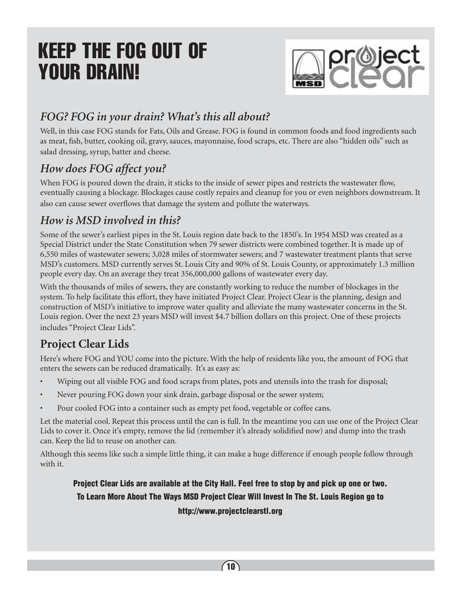# Keep the FOG out of YOUR DRAIN!



### *FOG? FOG in your drain? What's this all about?*

Well, in this case FOG stands for Fats, Oils and Grease. FOG is found in common foods and food ingredients such as meat, fish, butter, cooking oil, gravy, sauces, mayonnaise, food scraps, etc. There are also "hidden oils" such as salad dressing, syrup, batter and cheese.

### *How does FOG affect you?*

When FOG is poured down the drain, it sticks to the inside of sewer pipes and restricts the wastewater flow, eventually causing a blockage. Blockages cause costly repairs and cleanup for you or even neighbors downstream. It also can cause sewer overflows that damage the system and pollute the waterways.

### *How is MSD involved in this?*

Some of the sewer's earliest pipes in the St. Louis region date back to the 1850's. In 1954 MSD was created as a Special District under the State Constitution when 79 sewer districts were combined together. It is made up of 6,550 miles of wastewater sewers; 3,028 miles of stormwater sewers; and 7 wastewater treatment plants that serve MSD's customers. MSD currently serves St. Louis City and 90% of St. Louis County, or approximately 1.3 million people every day. On an average they treat 356,000,000 gallons of wastewater every day.

With the thousands of miles of sewers, they are constantly working to reduce the number of blockages in the system. To help facilitate this effort, they have initiated Project Clear. Project Clear is the planning, design and construction of MSD's initiative to improve water quality and alleviate the many wastewater concerns in the St. Louis region. Over the next 23 years MSD will invest \$4.7 billion dollars on this project. One of these projects includes "Project Clear Lids".

### **Project Clear Lids**

Here's where FOG and YOU come into the picture. With the help of residents like you, the amount of FOG that enters the sewers can be reduced dramatically. It's as easy as:

- Wiping out all visible FOG and food scraps from plates, pots and utensils into the trash for disposal;
- Never pouring FOG down your sink drain, garbage disposal or the sewer system;
- Pour cooled FOG into a container such as empty pet food, vegetable or coffee cans.

Let the material cool. Repeat this process until the can is full. In the meantime you can use one of the Project Clear Lids to cover it. Once it's empty, remove the lid (remember it's already solidified now) and dump into the trash can. Keep the lid to reuse on another can.

Although this seems like such a simple little thing, it can make a huge difference if enough people follow through with it.

### Project Clear Lids are available at the City Hall. Feel free to stop by and pick up one or two. To Learn More About The Ways MSD Project Clear Will Invest In The St. Louis Region go to http://www.projectclearstl.org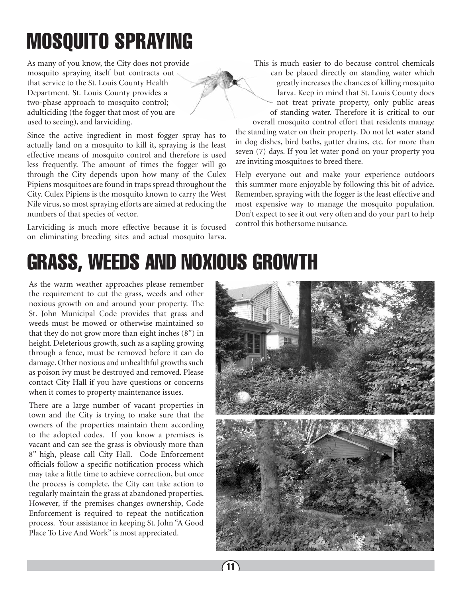# mosquito spraying

As many of you know, the City does not provide mosquito spraying itself but contracts out that service to the St. Louis County Health Department. St. Louis County provides a two-phase approach to mosquito control; adulticiding (the fogger that most of you are used to seeing), and larviciding.

Since the active ingredient in most fogger spray has to actually land on a mosquito to kill it, spraying is the least effective means of mosquito control and therefore is used less frequently. The amount of times the fogger will go through the City depends upon how many of the Culex Pipiens mosquitoes are found in traps spread throughout the City. Culex Pipiens is the mosquito known to carry the West Nile virus, so most spraying efforts are aimed at reducing the numbers of that species of vector.

Larviciding is much more effective because it is focused on eliminating breeding sites and actual mosquito larva. This is much easier to do because control chemicals can be placed directly on standing water which greatly increases the chances of killing mosquito larva. Keep in mind that St. Louis County does not treat private property, only public areas of standing water. Therefore it is critical to our

overall mosquito control effort that residents manage the standing water on their property. Do not let water stand in dog dishes, bird baths, gutter drains, etc. for more than seven (7) days. If you let water pond on your property you are inviting mosquitoes to breed there.

Help everyone out and make your experience outdoors this summer more enjoyable by following this bit of advice. Remember, spraying with the fogger is the least effective and most expensive way to manage the mosquito population. Don't expect to see it out very often and do your part to help control this bothersome nuisance.

# GRASS, WEEDS AND NOXIOUS GROWTH

As the warm weather approaches please remember the requirement to cut the grass, weeds and other noxious growth on and around your property. The St. John Municipal Code provides that grass and weeds must be mowed or otherwise maintained so that they do not grow more than eight inches (8") in height. Deleterious growth, such as a sapling growing through a fence, must be removed before it can do damage. Other noxious and unhealthful growths such as poison ivy must be destroyed and removed. Please contact City Hall if you have questions or concerns when it comes to property maintenance issues.

There are a large number of vacant properties in town and the City is trying to make sure that the owners of the properties maintain them according to the adopted codes. If you know a premises is vacant and can see the grass is obviously more than 8" high, please call City Hall. Code Enforcement officials follow a specific notification process which may take a little time to achieve correction, but once the process is complete, the City can take action to regularly maintain the grass at abandoned properties. However, if the premises changes ownership, Code Enforcement is required to repeat the notification process. Your assistance in keeping St. John "A Good Place To Live And Work" is most appreciated.